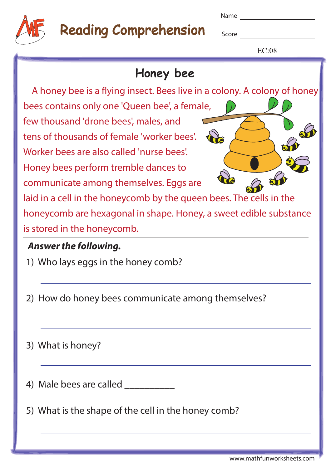| . .<br>× | w<br>v |
|----------|--------|
|----------|--------|



## Reading Comprehension

Score

 $E C.08$ 

| EC:08                                                                    |
|--------------------------------------------------------------------------|
| Honey bee                                                                |
| A honey bee is a flying insect. Bees live in a colony. A colony of honey |
| bees contains only one 'Queen bee', a female,                            |
| few thousand 'drone bees', males, and                                    |
| tens of thousands of female 'worker bees'.                               |
| Worker bees are also called 'nurse bees'.                                |
| Honey bees perform tremble dances to                                     |
| communicate among themselves. Eggs are                                   |
| laid in a cell in the honeycomb by the queen bees. The cells in the      |
| honeycomb are hexagonal in shape. Honey, a sweet edible substance        |
| is stored in the honeycomb.                                              |
| <b>Answer the following.</b>                                             |
| 1) Who lays eggs in the honey comb?                                      |
| 2) How do honey bees communicate among themselves?                       |

|  |  |  | 3) What is honey? |
|--|--|--|-------------------|
|--|--|--|-------------------|

4) Male bees are called \_\_\_\_\_\_\_\_\_\_\_\_

5) What is the shape of the cell in the honey comb?